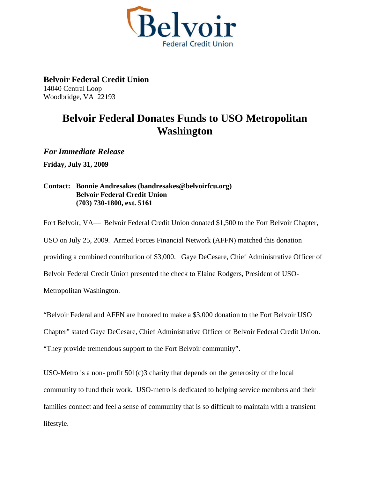

**Belvoir Federal Credit Union**  14040 Central Loop Woodbridge, VA 22193

## **Belvoir Federal Donates Funds to USO Metropolitan Washington**

*For Immediate Release* 

**Friday, July 31, 2009** 

**Contact: Bonnie Andresakes (bandresakes@belvoirfcu.org) Belvoir Federal Credit Union (703) 730-1800, ext. 5161** 

Fort Belvoir, VA— Belvoir Federal Credit Union donated \$1,500 to the Fort Belvoir Chapter, USO on July 25, 2009. Armed Forces Financial Network (AFFN) matched this donation providing a combined contribution of \$3,000. Gaye DeCesare, Chief Administrative Officer of Belvoir Federal Credit Union presented the check to Elaine Rodgers, President of USO-Metropolitan Washington.

"Belvoir Federal and AFFN are honored to make a \$3,000 donation to the Fort Belvoir USO

Chapter" stated Gaye DeCesare, Chief Administrative Officer of Belvoir Federal Credit Union.

"They provide tremendous support to the Fort Belvoir community".

USO-Metro is a non- profit 501(c)3 charity that depends on the generosity of the local community to fund their work. USO-metro is dedicated to helping service members and their families connect and feel a sense of community that is so difficult to maintain with a transient lifestyle.